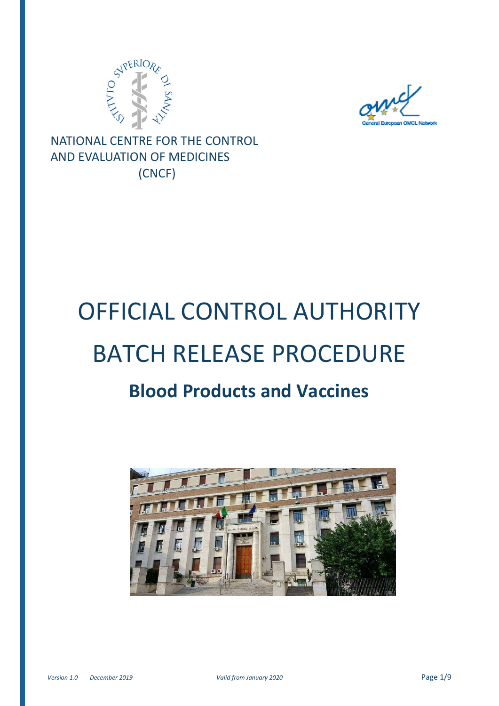



NATIONAL CENTRE FOR THE CONTROL AND EVALUATION OF MEDICINES (CNCF)

# OFFICIAL CONTROL AUTHORITY BATCH RELEASE PROCEDURE

## **Blood Products and Vaccines**

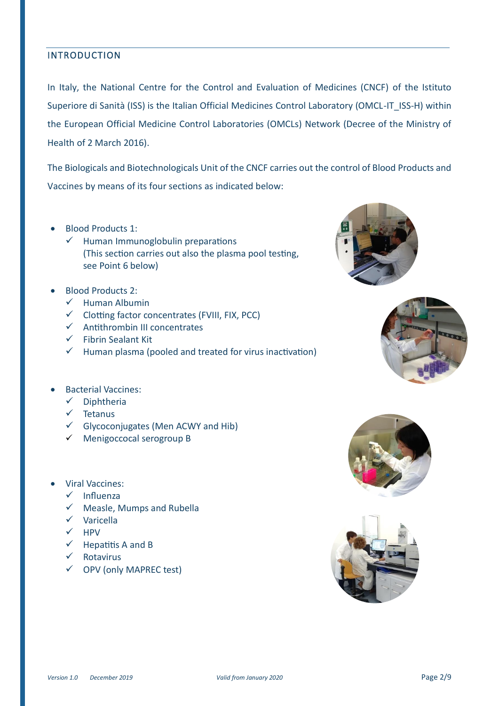#### INTRODUCTION

In Italy, the National Centre for the Control and Evaluation of Medicines (CNCF) of the Istituto Superiore di Sanità (ISS) is the Italian Official Medicines Control Laboratory (OMCL-IT\_ISS-H) within the European Official Medicine Control Laboratories (OMCLs) Network (Decree of the Ministry of Health of 2 March 2016).

The Biologicals and Biotechnologicals Unit of the CNCF carries out the control of Blood Products and Vaccines by means of its four sections as indicated below:

- Blood Products 1:
	- $\checkmark$  Human Immunoglobulin preparations (This section carries out also the plasma pool testing, see Point 6 below)
- Blood Products 2:
	- $\checkmark$  Human Albumin
	- $\checkmark$  Clotting factor concentrates (FVIII, FIX, PCC)
	- $\checkmark$  Antithrombin III concentrates
	- ✓ Fibrin Sealant Kit
	- $\checkmark$  Human plasma (pooled and treated for virus inactivation)



- ✓ Diphtheria
- ✓ Tetanus
- ✓ Glycoconjugates (Men ACWY and Hib)
- ✓ Menigoccocal serogroup B
- Viral Vaccines:
	- ✓ Influenza
	- ✓ Measle, Mumps and Rubella
	- ✓ Varicella
	- ✓ HPV
	- $\checkmark$  Hepatitis A and B
	- ✓ Rotavirus
	- ✓ OPV (only MAPREC test)







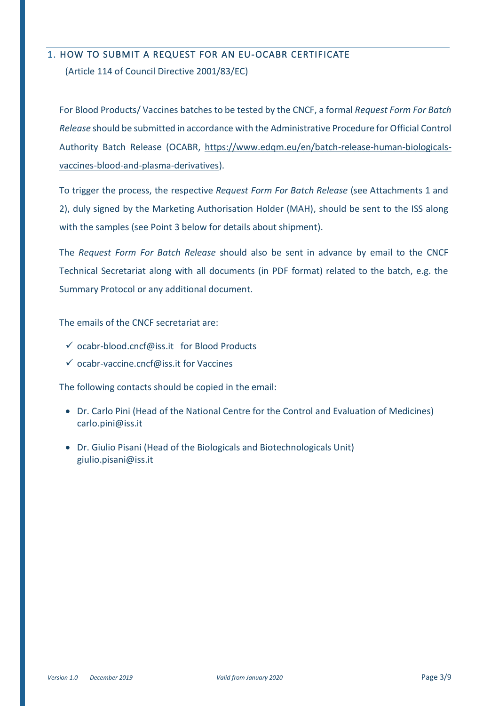#### 1. HOW TO SUBMIT A REQUEST FOR AN EU-OCABR CERTIFICATE

(Article 114 of Council Directive 2001/83/EC)

For Blood Products/ Vaccines batches to be tested by the CNCF, a formal *Request Form For Batch Release* should be submitted in accordance with the Administrative Procedure for Official Control Authority Batch Release (OCABR, [https://www.edqm.eu/en/batch-release-human-biologicals](https://www.edqm.eu/en/batch-release-human-biologicals-vaccines-blood-and-plasma-derivatives)[vaccines-blood-and-plasma-derivatives\)](https://www.edqm.eu/en/batch-release-human-biologicals-vaccines-blood-and-plasma-derivatives).

To trigger the process, the respective *Request Form For Batch Release* (see Attachments 1 and 2), duly signed by the Marketing Authorisation Holder (MAH), should be sent to the ISS along with the samples (see Point 3 below for details about shipment).

The *Request Form For Batch Release* should also be sent in advance by email to the CNCF Technical Secretariat along with all documents (in PDF format) related to the batch, e.g. the Summary Protocol or any additional document.

The emails of the CNCF secretariat are:

- $\checkmark$  [ocabr-blood.cncf@iss.it](mailto:ocabr-blood.cncf@iss.it) for Blood Products
- ✓ [ocabr-vaccine.cncf@iss.it](mailto:ocabr-vaccine.cncf@iss.it) for Vaccines

The following contacts should be copied in the email:

- Dr. Carlo Pini (Head of the National Centre for the Control and Evaluation of Medicines) carlo.pini@iss.it
- Dr. Giulio Pisani (Head of the Biologicals and Biotechnologicals Unit) giulio.pisani@iss.it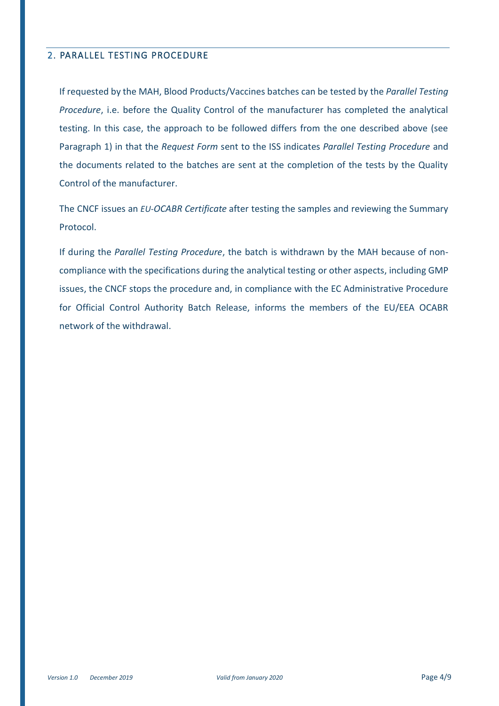#### 2. PARALLEL TESTING PROCEDURE

If requested by the MAH, Blood Products/Vaccines batches can be tested by the *Parallel Testing Procedure*, i.e. before the Quality Control of the manufacturer has completed the analytical testing. In this case, the approach to be followed differs from the one described above (see Paragraph 1) in that the *Request Form* sent to the ISS indicates *Parallel Testing Procedure* and the documents related to the batches are sent at the completion of the tests by the Quality Control of the manufacturer.

The CNCF issues an *EU-OCABR Certificate* after testing the samples and reviewing the Summary Protocol.

If during the *Parallel Testing Procedure*, the batch is withdrawn by the MAH because of noncompliance with the specifications during the analytical testing or other aspects, including GMP issues, the CNCF stops the procedure and, in compliance with the EC Administrative Procedure for Official Control Authority Batch Release, informs the members of the EU/EEA OCABR network of the withdrawal.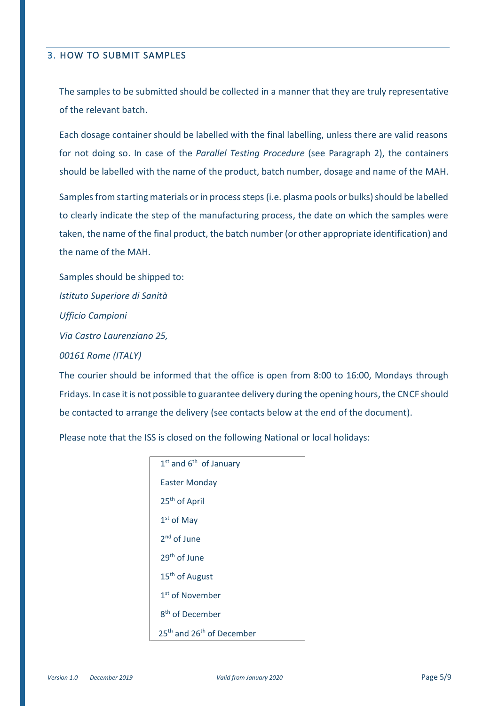#### 3. HOW TO SUBMIT SAMPLES

The samples to be submitted should be collected in a manner that they are truly representative of the relevant batch.

Each dosage container should be labelled with the final labelling, unless there are valid reasons for not doing so. In case of the *Parallel Testing Procedure* (see Paragraph 2), the containers should be labelled with the name of the product, batch number, dosage and name of the MAH.

Samples from starting materials or in process steps (i.e. plasma pools or bulks) should be labelled to clearly indicate the step of the manufacturing process, the date on which the samples were taken, the name of the final product, the batch number (or other appropriate identification) and the name of the MAH.

Samples should be shipped to: *Istituto Superiore di Sanità Ufficio Campioni Via Castro Laurenziano 25, 00161 Rome (ITALY)* 

The courier should be informed that the office is open from 8:00 to 16:00, Mondays through Fridays. In case it is not possible to guarantee delivery during the opening hours, the CNCF should be contacted to arrange the delivery (see contacts below at the end of the document).

Please note that the ISS is closed on the following National or local holidays:

| $1st$ and $6th$ of January<br><b>Easter Monday</b><br>25 <sup>th</sup> of April |  |
|---------------------------------------------------------------------------------|--|
|                                                                                 |  |
|                                                                                 |  |
|                                                                                 |  |
| $1st$ of May                                                                    |  |
| 2 <sup>nd</sup> of June                                                         |  |
| 29 <sup>th</sup> of June                                                        |  |
| 15 <sup>th</sup> of August                                                      |  |
| 1 <sup>st</sup> of November                                                     |  |
| 8 <sup>th</sup> of December                                                     |  |
| 25 <sup>th</sup> and 26 <sup>th</sup> of December                               |  |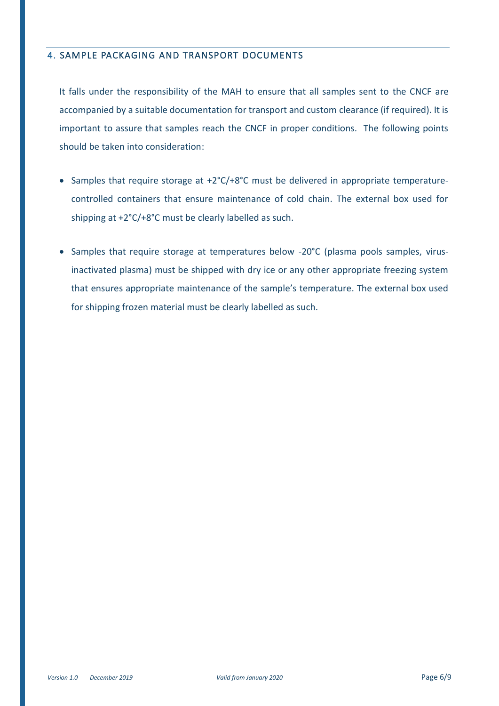#### 4. SAMPLE PACKAGING AND TRANSPORT DOCUMENTS

It falls under the responsibility of the MAH to ensure that all samples sent to the CNCF are accompanied by a suitable documentation for transport and custom clearance (if required). It is important to assure that samples reach the CNCF in proper conditions. The following points should be taken into consideration:

- Samples that require storage at +2°C/+8°C must be delivered in appropriate temperaturecontrolled containers that ensure maintenance of cold chain. The external box used for shipping at +2°C/+8°C must be clearly labelled as such.
- Samples that require storage at temperatures below -20°C (plasma pools samples, virusinactivated plasma) must be shipped with dry ice or any other appropriate freezing system that ensures appropriate maintenance of the sample's temperature. The external box used for shipping frozen material must be clearly labelled as such.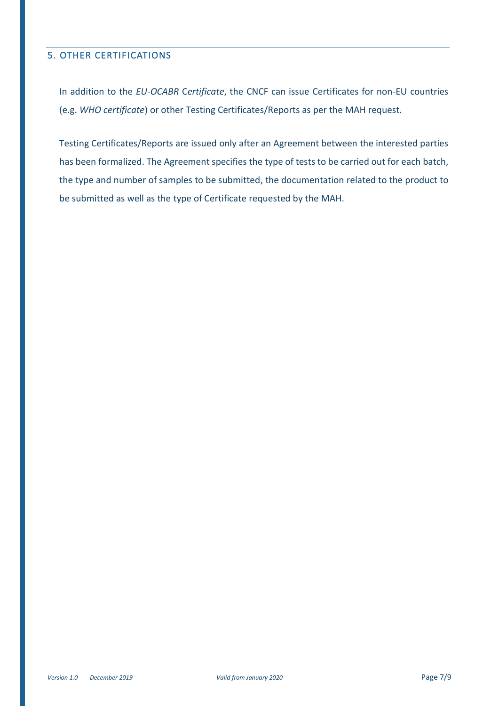#### 5. OTHER CERTIFICATIONS

In addition to the *EU-OCABR* C*ertificate*, the CNCF can issue Certificates for non-EU countries (e.g. *WHO certificate*) or other Testing Certificates/Reports as per the MAH request.

Testing Certificates/Reports are issued only after an Agreement between the interested parties has been formalized. The Agreement specifies the type of tests to be carried out for each batch, the type and number of samples to be submitted, the documentation related to the product to be submitted as well as the type of Certificate requested by the MAH.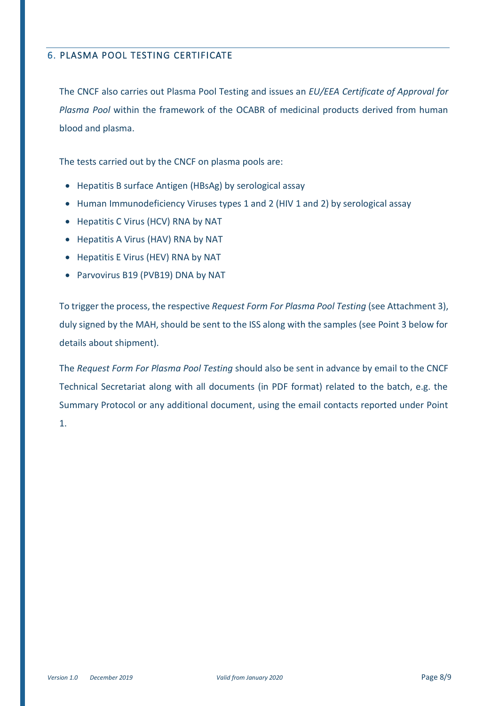### 6. PLASMA POOL TESTING CERTIFICATE

The CNCF also carries out Plasma Pool Testing and issues an *EU/EEA Certificate of Approval for Plasma Pool* within the framework of the OCABR of medicinal products derived from human blood and plasma.

The tests carried out by the CNCF on plasma pools are:

- Hepatitis B surface Antigen (HBsAg) by serological assay
- Human Immunodeficiency Viruses types 1 and 2 (HIV 1 and 2) by serological assay
- Hepatitis C Virus (HCV) RNA by NAT
- Hepatitis A Virus (HAV) RNA by NAT
- Hepatitis E Virus (HEV) RNA by NAT
- Parvovirus B19 (PVB19) DNA by NAT

To trigger the process, the respective *Request Form For Plasma Pool Testing* (see Attachment 3), duly signed by the MAH, should be sent to the ISS along with the samples (see Point 3 below for details about shipment).

The *Request Form For Plasma Pool Testing* should also be sent in advance by email to the CNCF Technical Secretariat along with all documents (in PDF format) related to the batch, e.g. the Summary Protocol or any additional document, using the email contacts reported under Point 1.